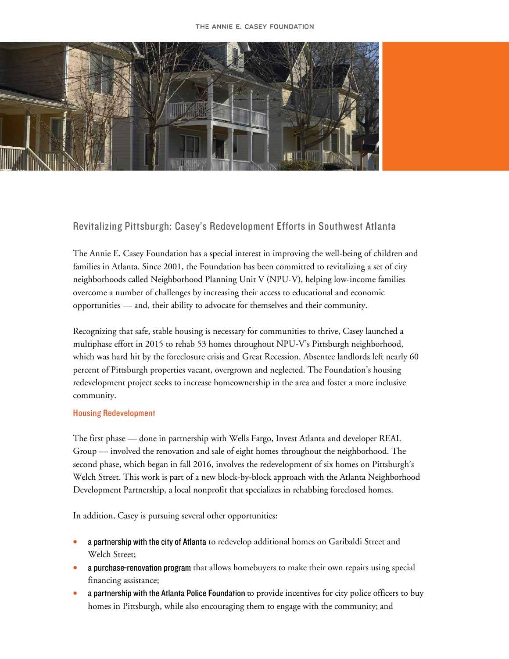

## Revitalizing Pittsburgh: Casey's Redevelopment Efforts in Southwest Atlanta

The Annie E. Casey Foundation has a special interest in improving the well-being of children and families in Atlanta. Since 2001, the Foundation has been committed to revitalizing a set of city neighborhoods called Neighborhood Planning Unit V (NPU-V), helping low-income families overcome a number of challenges by increasing their access to educational and economic opportunities — and, their ability to advocate for themselves and their community.

Recognizing that safe, stable housing is necessary for communities to thrive, Casey launched a multiphase effort in 2015 to rehab 53 homes throughout NPU-V's Pittsburgh neighborhood, which was hard hit by the foreclosure crisis and Great Recession. Absentee landlords left nearly 60 percent of Pittsburgh properties vacant, overgrown and neglected. The Foundation's housing redevelopment project seeks to increase homeownership in the area and foster a more inclusive community.

## **Housing Redevelopment**

The first phase — done in partnership with Wells Fargo, Invest Atlanta and developer REAL Group — involved the renovation and sale of eight homes throughout the neighborhood. The second phase, which began in fall 2016, involves the redevelopment of six homes on Pittsburgh's Welch Street. This work is part of a new block-by-block approach with the Atlanta Neighborhood Development Partnership, a local nonprofit that specializes in rehabbing foreclosed homes.

In addition, Casey is pursuing several other opportunities:

- a partnership with the city of Atlanta to redevelop additional homes on Garibaldi Street and Welch Street;
- a purchase-renovation program that allows homebuyers to make their own repairs using special financing assistance;
- a partnership with the Atlanta Police Foundation to provide incentives for city police officers to buy homes in Pittsburgh, while also encouraging them to engage with the community; and